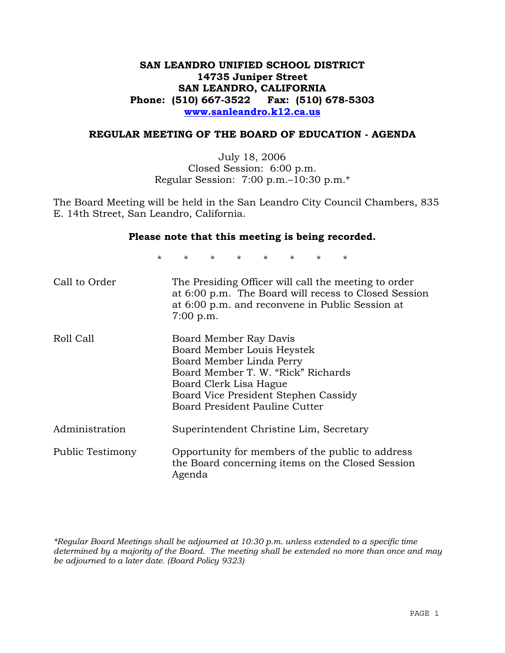# **SAN LEANDRO UNIFIED SCHOOL DISTRICT 14735 Juniper Street SAN LEANDRO, CALIFORNIA Phone: (510) 667-3522 Fax: (510) 678-5303 www.sanleandro.k12.ca.us**

#### **REGULAR MEETING OF THE BOARD OF EDUCATION - AGENDA**

July 18, 2006 Closed Session: 6:00 p.m. Regular Session: 7:00 p.m.–10:30 p.m.\*

The Board Meeting will be held in the San Leandro City Council Chambers, 835 E. 14th Street, San Leandro, California.

#### **Please note that this meeting is being recorded.**

\* \* \* \* \* \* \* \*

| Call to Order    | The Presiding Officer will call the meeting to order<br>at 6:00 p.m. The Board will recess to Closed Session<br>at 6:00 p.m. and reconvene in Public Session at<br>$7:00$ p.m.                                             |
|------------------|----------------------------------------------------------------------------------------------------------------------------------------------------------------------------------------------------------------------------|
| Roll Call        | Board Member Ray Davis<br>Board Member Louis Heystek<br>Board Member Linda Perry<br>Board Member T. W. "Rick" Richards<br>Board Clerk Lisa Hague<br>Board Vice President Stephen Cassidy<br>Board President Pauline Cutter |
| Administration   | Superintendent Christine Lim, Secretary                                                                                                                                                                                    |
| Public Testimony | Opportunity for members of the public to address<br>the Board concerning items on the Closed Session<br>Agenda                                                                                                             |

*\*Regular Board Meetings shall be adjourned at 10:30 p.m. unless extended to a specific time determined by a majority of the Board. The meeting shall be extended no more than once and may be adjourned to a later date. (Board Policy 9323)*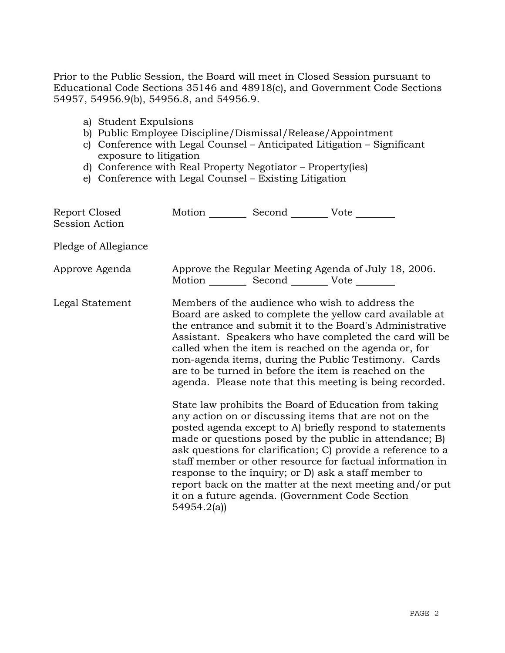Prior to the Public Session, the Board will meet in Closed Session pursuant to Educational Code Sections 35146 and 48918(c), and Government Code Sections 54957, 54956.9(b), 54956.8, and 54956.9.

- a) Student Expulsions
- b) Public Employee Discipline/Dismissal/Release/Appointment
- c) Conference with Legal Counsel Anticipated Litigation Significant exposure to litigation
- d) Conference with Real Property Negotiator Property(ies)
- e) Conference with Legal Counsel Existing Litigation

| Report Closed<br><b>Session Action</b> | Motion __________ Second __________ Vote _______  |                                                                                                                                                                                                                                                                                                                                                                                                                                                                                                                                                                                                                                                                                                                                                                                                                                                                                                                                                                                                                        |
|----------------------------------------|---------------------------------------------------|------------------------------------------------------------------------------------------------------------------------------------------------------------------------------------------------------------------------------------------------------------------------------------------------------------------------------------------------------------------------------------------------------------------------------------------------------------------------------------------------------------------------------------------------------------------------------------------------------------------------------------------------------------------------------------------------------------------------------------------------------------------------------------------------------------------------------------------------------------------------------------------------------------------------------------------------------------------------------------------------------------------------|
| Pledge of Allegiance                   |                                                   |                                                                                                                                                                                                                                                                                                                                                                                                                                                                                                                                                                                                                                                                                                                                                                                                                                                                                                                                                                                                                        |
| Approve Agenda                         | Motion __________ Second __________ Vote ________ | Approve the Regular Meeting Agenda of July 18, 2006.                                                                                                                                                                                                                                                                                                                                                                                                                                                                                                                                                                                                                                                                                                                                                                                                                                                                                                                                                                   |
| Legal Statement                        | 54954.2(a)                                        | Members of the audience who wish to address the<br>Board are asked to complete the yellow card available at<br>the entrance and submit it to the Board's Administrative<br>Assistant. Speakers who have completed the card will be<br>called when the item is reached on the agenda or, for<br>non-agenda items, during the Public Testimony. Cards<br>are to be turned in before the item is reached on the<br>agenda. Please note that this meeting is being recorded.<br>State law prohibits the Board of Education from taking<br>any action on or discussing items that are not on the<br>posted agenda except to A) briefly respond to statements<br>made or questions posed by the public in attendance; B)<br>ask questions for clarification; C) provide a reference to a<br>staff member or other resource for factual information in<br>response to the inquiry; or D) ask a staff member to<br>report back on the matter at the next meeting and/or put<br>it on a future agenda. (Government Code Section |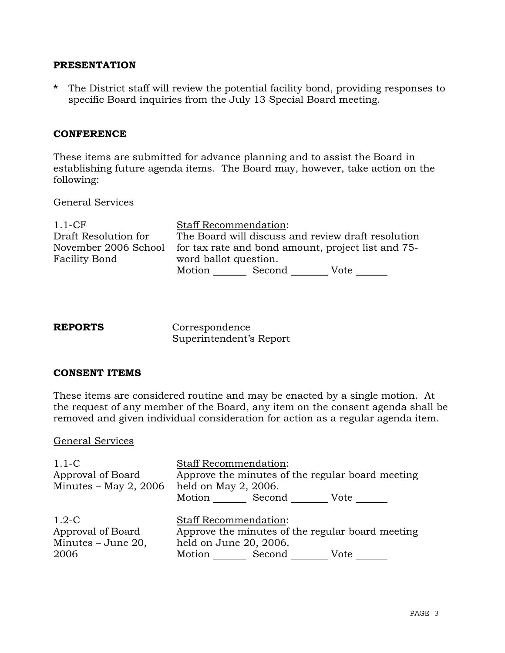### **PRESENTATION**

**\*** The District staff will review the potential facility bond, providing responses to specific Board inquiries from the July 13 Special Board meeting.

## **CONFERENCE**

These items are submitted for advance planning and to assist the Board in establishing future agenda items. The Board may, however, take action on the following:

### General Services

| $1.1 - CF$                            | <b>Staff Recommendation:</b>                                                |  |  |
|---------------------------------------|-----------------------------------------------------------------------------|--|--|
| Draft Resolution for                  | The Board will discuss and review draft resolution                          |  |  |
| November 2006 School<br>Facility Bond | for tax rate and bond amount, project list and 75-<br>word ballot question. |  |  |
|                                       | Motion<br>Second<br>Vote                                                    |  |  |

| <b>REPORTS</b> | Correspondence          |
|----------------|-------------------------|
|                | Superintendent's Report |

### **CONSENT ITEMS**

These items are considered routine and may be enacted by a single motion. At the request of any member of the Board, any item on the consent agenda shall be removed and given individual consideration for action as a regular agenda item.

### General Services

| $1.1 - C$               | <b>Staff Recommendation:</b>                     |
|-------------------------|--------------------------------------------------|
| Approval of Board       | Approve the minutes of the regular board meeting |
| Minutes $-$ May 2, 2006 | held on May 2, 2006.                             |
|                         | Motion Second<br>Vote                            |
|                         |                                                  |
| $1.2 - C$               | <b>Staff Recommendation:</b>                     |
| Approval of Board       | Approve the minutes of the regular board meeting |
| Minutes - June 20,      | held on June 20, 2006.                           |
| 2006                    | Motion Second<br>Vote                            |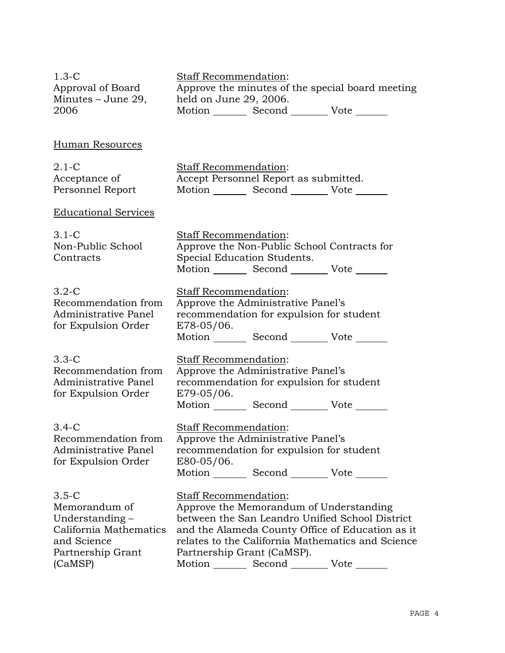1.3-C Approval of Board Minutes – June 29, 2006 Staff Recommendation: Approve the minutes of the special board meeting held on June 29, 2006. Motion \_\_\_\_\_\_\_\_ Second \_\_\_\_\_\_\_\_\_ Vote \_\_\_\_\_\_ Human Resources 2.1-C Acceptance of Personnel Report Staff Recommendation: Accept Personnel Report as submitted. Motion Second Vote Educational Services 3.1-C Non-Public School **Contracts** Staff Recommendation: Approve the Non-Public School Contracts for Special Education Students. Motion Second Vote 3.2-C Recommendation from Administrative Panel for Expulsion Order Staff Recommendation: Approve the Administrative Panel's recommendation for expulsion for student E78-05/06. Motion Second Vote 3.3-C Recommendation from Administrative Panel for Expulsion Order Staff Recommendation: Approve the Administrative Panel's recommendation for expulsion for student E79-05/06. Motion Second Vote 3.4-C Recommendation from Administrative Panel for Expulsion Order Staff Recommendation: Approve the Administrative Panel's recommendation for expulsion for student E80-05/06. Motion Second Vote 3.5-C Memorandum of Understanding – California Mathematics and Science Partnership Grant (CaMSP) Staff Recommendation: Approve the Memorandum of Understanding between the San Leandro Unified School District and the Alameda County Office of Education as it relates to the California Mathematics and Science Partnership Grant (CaMSP). Motion Second Vote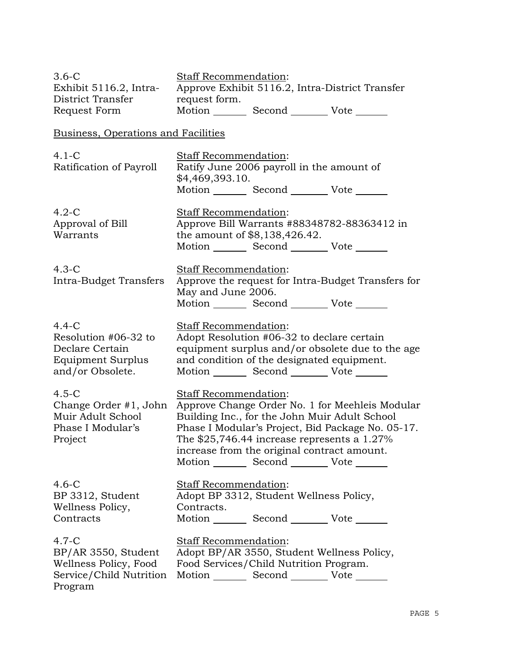| $3.6-C$<br>Exhibit 5116.2, Intra-<br>District Transfer<br>Request Form                        | Staff Recommendation:<br>Approve Exhibit 5116.2, Intra-District Transfer<br>request form.<br>Motion _________ Second __________ Vote _______                                                                                                                                                                                               |
|-----------------------------------------------------------------------------------------------|--------------------------------------------------------------------------------------------------------------------------------------------------------------------------------------------------------------------------------------------------------------------------------------------------------------------------------------------|
| <b>Business, Operations and Facilities</b>                                                    |                                                                                                                                                                                                                                                                                                                                            |
| $4.1 - C$<br>Ratification of Payroll                                                          | Staff Recommendation:<br>Ratify June 2006 payroll in the amount of<br>\$4,469,393.10.<br>Motion _________ Second __________ Vote _______                                                                                                                                                                                                   |
| $4.2-C$<br>Approval of Bill<br>Warrants                                                       | Staff Recommendation:<br>Approve Bill Warrants #88348782-88363412 in<br>the amount of \$8,138,426.42.<br>Motion _________ Second __________ Vote _______                                                                                                                                                                                   |
| $4.3-C$<br>Intra-Budget Transfers                                                             | Staff Recommendation:<br>Approve the request for Intra-Budget Transfers for<br>May and June 2006.<br>Motion _________ Second __________ Vote _______                                                                                                                                                                                       |
| $4.4-C$<br>Resolution #06-32 to<br>Declare Certain<br>Equipment Surplus<br>and/or Obsolete.   | Staff Recommendation:<br>Adopt Resolution #06-32 to declare certain<br>equipment surplus and/or obsolete due to the age<br>and condition of the designated equipment.<br>Motion Second Vote ______                                                                                                                                         |
| $4.5-C$<br>Change Order #1, John<br>Muir Adult School<br>Phase I Modular's<br>Project         | <b>Staff Recommendation:</b><br>Approve Change Order No. 1 for Meehleis Modular<br>Building Inc., for the John Muir Adult School<br>Phase I Modular's Project, Bid Package No. 05-17.<br>The $$25,746.44$ increase represents a $1.27\%$<br>increase from the original contract amount.<br>Motion _________ Second __________ Vote _______ |
| $4.6-C$<br>BP 3312, Student<br>Wellness Policy,<br>Contracts                                  | Staff Recommendation:<br>Adopt BP 3312, Student Wellness Policy,<br>Contracts.<br>Motion _________ Second __________ Vote _______                                                                                                                                                                                                          |
| $4.7-C$<br>BP/AR 3550, Student<br>Wellness Policy, Food<br>Service/Child Nutrition<br>Program | Staff Recommendation:<br>Adopt BP/AR 3550, Student Wellness Policy,<br>Food Services/Child Nutrition Program.<br>Motion Second Vote                                                                                                                                                                                                        |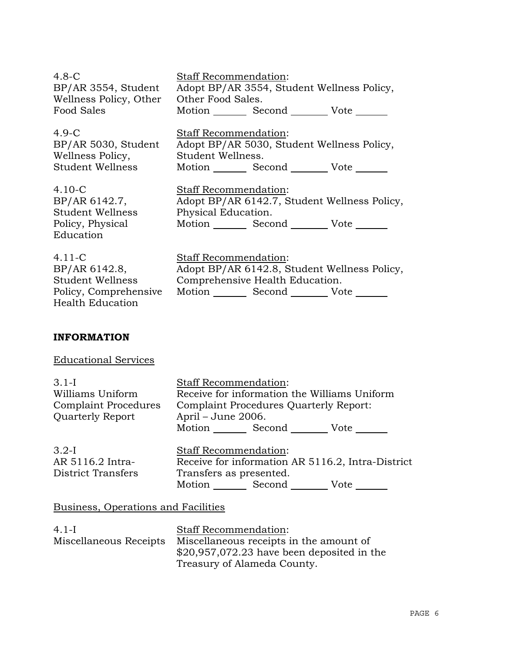4.8-C BP/AR 3554, Student Wellness Policy, Other Food Sales

4.9-C BP/AR 5030, Student Wellness Policy, Student Wellness

4.10-C BP/AR 6142.7, Student Wellness Policy, Physical Education

4.11-C BP/AR 6142.8, Student Wellness Policy, Comprehensive Health Education

Staff Recommendation: Adopt BP/AR 3554, Student Wellness Policy, Other Food Sales. Motion Second Vote \_\_\_\_\_\_

Staff Recommendation: Adopt BP/AR 5030, Student Wellness Policy, Student Wellness. Motion Second Vote

Staff Recommendation: Adopt BP/AR 6142.7, Student Wellness Policy, Physical Education. Motion \_\_\_\_\_\_\_\_ Second \_\_\_\_\_\_\_\_\_ Vote \_\_\_\_\_\_

Staff Recommendation: Adopt BP/AR 6142.8, Student Wellness Policy, Comprehensive Health Education. Motion Second Vote \_\_\_\_\_\_

# **INFORMATION**

Educational Services

| $3.1-I$                     | <b>Staff Recommendation:</b>                 |  |  |
|-----------------------------|----------------------------------------------|--|--|
| Williams Uniform            | Receive for information the Williams Uniform |  |  |
| <b>Complaint Procedures</b> | Complaint Procedures Quarterly Report:       |  |  |
| <b>Quarterly Report</b>     | April – June 2006.                           |  |  |
|                             | Motion Second<br>– Vote                      |  |  |
| $\Omega$ $\Omega$ T         | $Q_{L}$ of $D_{L}$ , and $L$ and $L$ and $L$ |  |  |

| $3.2-I$            |                         | Staff Recommendation:                             |      |  |
|--------------------|-------------------------|---------------------------------------------------|------|--|
| AR 5116.2 Intra-   |                         | Receive for information AR 5116.2, Intra-District |      |  |
| District Transfers | Transfers as presented. |                                                   |      |  |
|                    | Motion.                 | Second                                            | Vote |  |

### Business, Operations and Facilities

| $4.1-I$                | <b>Staff Recommendation:</b>                |
|------------------------|---------------------------------------------|
| Miscellaneous Receipts | Miscellaneous receipts in the amount of     |
|                        | $$20,957,072.23$ have been deposited in the |
|                        | Treasury of Alameda County.                 |